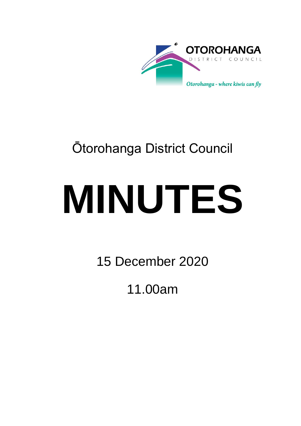

## Ōtorohanga District Council

# **MINUTES**

15 December 2020

11.00am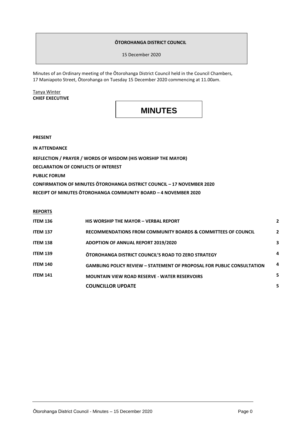#### **ŌTOROHANGA DISTRICT COUNCIL**

15 December 2020

Minutes of an Ordinary meeting of the Ōtorohanga District Council held in the Council Chambers, 17 Maniapoto Street, Ōtorohanga on Tuesday 15 December 2020 commencing at 11.00am.

Tanya Winter **CHIEF EXECUTIVE**

### **MINUTES**

**PRESENT**

**IN ATTENDANCE**

**REFLECTION / PRAYER / WORDS OF WISDOM (HIS WORSHIP THE MAYOR)**

**DECLARATION OF CONFLICTS OF INTEREST**

**PUBLIC FORUM**

**CONFIRMATION OF MINUTES ŌTOROHANGA DISTRICT COUNCIL – 17 NOVEMBER 2020**

**RECEIPT OF MINUTES ŌTOROHANGA COMMUNITY BOARD – 4 NOVEMBER 2020**

| и<br>R٦<br>п<br>┍<br>nE.<br>. . |  |
|---------------------------------|--|
|                                 |  |

| <b>ITEM 136</b> | <b>HIS WORSHIP THE MAYOR - VERBAL REPORT</b>                                  |                |
|-----------------|-------------------------------------------------------------------------------|----------------|
| <b>ITEM 137</b> | RECOMMENDATIONS FROM COMMUNITY BOARDS & COMMITTEES OF COUNCIL                 | $\overline{2}$ |
| <b>ITEM 138</b> | <b>ADOPTION OF ANNUAL REPORT 2019/2020</b>                                    | 3              |
| <b>ITEM 139</b> | <b>OTOROHANGA DISTRICT COUNCIL'S ROAD TO ZERO STRATEGY</b>                    | 4              |
| <b>ITEM 140</b> | <b>GAMBLING POLICY REVIEW - STATEMENT OF PROPOSAL FOR PUBLIC CONSULTATION</b> | 4              |
| <b>ITEM 141</b> | <b>MOUNTAIN VIEW ROAD RESERVE - WATER RESERVOIRS</b>                          | 5              |
|                 | <b>COUNCILLOR UPDATE</b>                                                      | 5              |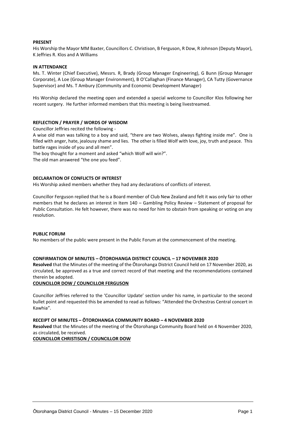#### **PRESENT**

His Worship the Mayor MM Baxter, Councillors C. Christison, B Ferguson, R Dow, R Johnson (Deputy Mayor), K Jeffries R. Klos and A Williams

#### **IN ATTENDANCE**

Ms. T. Winter (Chief Executive), Messrs. R, Brady (Group Manager Engineering), G Bunn (Group Manager Corporate), A Loe (Group Manager Environment), B O'Callaghan (Finance Manager), CA Tutty (Governance Supervisor) and Ms. T Ambury (Community and Economic Development Manager)

His Worship declared the meeting open and extended a special welcome to Councillor Klos following her recent surgery. He further informed members that this meeting is being livestreamed.

#### **REFLECTION / PRAYER / WORDS OF WISDOM**

Councillor Jeffries recited the following -

A wise old man was talking to a boy and said, "there are two Wolves, always fighting inside me". One is filled with anger, hate, jealousy shame and lies. The other is filled Wolf with love, joy, truth and peace. This battle rages inside of you and all men".

The boy thought for a moment and asked "which Wolf will win?".

The old man answered "the one you feed".

#### **DECLARATION OF CONFLICTS OF INTEREST**

His Worship asked members whether they had any declarations of conflicts of interest.

Councillor Ferguson replied that he is a Board member of Club New Zealand and felt it was only fair to other members that he declares an interest in Item 140 – Gambling Policy Review – Statement of proposal for Public Consultation. He felt however, there was no need for him to obstain from speaking or voting on any resolution.

#### **PUBLIC FORUM**

No members of the public were present in the Public Forum at the commencement of the meeting.

#### **CONFIRMATION OF MINUTES – ŌTOROHANGA DISTRICT COUNCIL – 17 NOVEMBER 2020**

**Resolved** that the Minutes of the meeting of the Ōtorohanga District Council held on 17 November 2020, as circulated, be approved as a true and correct record of that meeting and the recommendations contained therein be adopted.

#### **COUNCILLOR DOW / COUNCILLOR FERGUSON**

Councillor Jeffries referred to the 'Councillor Update' section under his name, in particular to the second bullet point and requested this be amended to read as follows: "Attended the Orchestras Central concert in Kawhia".

#### **RECEIPT OF MINUTES – ŌTOROHANGA COMMUNITY BOARD – 4 NOVEMBER 2020**

**Resolved** that the Minutes of the meeting of the Ōtorohanga Community Board held on 4 November 2020, as circulated, be received.

**COUNCILLOR CHRISTISON / COUNCILLOR DOW**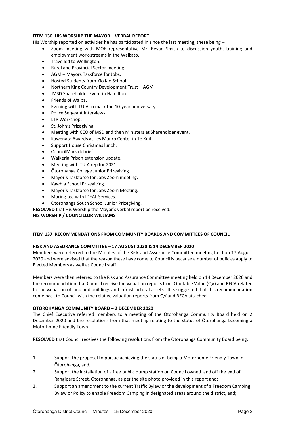#### **ITEM 136 HIS WORSHIP THE MAYOR – VERBAL REPORT**

His Worship reported on activities he has participated in since the last meeting, these being –

- Zoom meeting with MOE representative Mr. Bevan Smith to discussion youth, training and employment work-streams in the Waikato.
- Travelled to Wellington.
- Rural and Provincial Sector meeting.
- AGM Mayors Taskforce for Jobs.
- Hosted Students from Kio Kio School.
- Northern King Country Development Trust AGM.
- MSD Shareholder Event in Hamilton.
- Friends of Waipa.
- Evening with TUIA to mark the 10-year anniversary.
- Police Sergeant Interviews.
- LTP Workshop.
- St. John's Prizegiving.
- Meeting with CEO of MSD and then Ministers at Shareholder event.
- Kawenata Awards at Les Munro Center in Te Kuiti.
- Support House Christmas lunch.
- CouncilMark debrief.
- Waikeria Prison extension update.
- Meeting with TUIA rep for 2021.
- Ōtorohanga College Junior Prizegiving.
- Mayor's Taskforce for Jobs Zoom meeting.
- Kawhia School Prizegiving.
- Mayor's Taskforce for Jobs Zoom Meeting.
- Moring tea with IDEAL Services.
- Ōtorohanga South School Junior Prizegiving.

**RESOLVED** that His Worship the Mayor's verbal report be received.

#### **HIS WORSHIP / COUNCILLOR WILLIAMS**

#### **ITEM 137 RECOMMENDATIONS FROM COMMUNITY BOARDS AND COMMITTEES OF COUNCIL**

#### **RISK AND ASSURANCE COMMITTEE – 17 AUGUST 2020 & 14 DECEMBER 2020**

Members were referred to the Minutes of the Risk and Assurance Committee meeting held on 17 August 2020 and were advised that the reason these have come to Council is because a number of policies apply to Elected Members as well as Council staff.

Members were then referred to the Risk and Assurance Committee meeting held on 14 December 2020 and the recommendation that Council receive the valuation reports from Quotable Value (QV) and BECA related to the valuation of land and buildings and infrastructural assets. It is suggested that this recommendation come back to Council with the relative valuation reports from QV and BECA attached.

#### **ŌTOROHANGA COMMUNITY BOARD – 2 DECEMBER 2020**

The Chief Executive referred members to a meeting of the Ōtorohanga Community Board held on 2 December 2020 and the resolutions from that meeting relating to the status of Ōtorohanga becoming a Motorhome Friendly Town.

**RESOLVED** that Council receives the following resolutions from the Ōtorohanga Community Board being:

- 1. Support the proposal to pursue achieving the status of being a Motorhome Friendly Town in Ōtorohanga, and;
- 2. Support the installation of a free public dump station on Council owned land off the end of Rangipare Street, Ōtorohanga, as per the site photo provided in this report and;
- 3. Support an amendment to the current Traffic Bylaw or the development of a Freedom Camping Bylaw or Policy to enable Freedom Camping in designated areas around the district, and;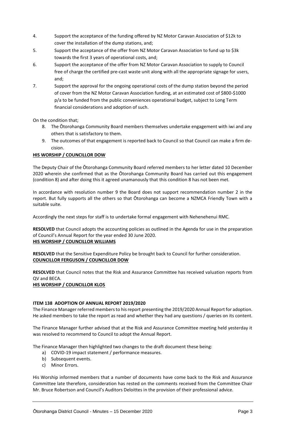- 4. Support the acceptance of the funding offered by NZ Motor Caravan Association of \$12k to cover the installation of the dump stations, and;
- 5. Support the acceptance of the offer from NZ Motor Caravan Association to fund up to \$3k towards the first 3 years of operational costs, and;
- 6. Support the acceptance of the offer from NZ Motor Caravan Association to supply to Council free of charge the certified pre-cast waste unit along with all the appropriate signage for users, and;
- 7. Support the approval for the ongoing operational costs of the dump station beyond the period of cover from the NZ Motor Caravan Association funding, at an estimated cost of \$800-\$1000 p/a to be funded from the public conveniences operational budget, subject to Long Term financial considerations and adoption of such.

On the condition that;

- 8. The Ōtorohanga Community Board members themselves undertake engagement with iwi and any others that is satisfactory to them.
- 9. The outcomes of that engagement is reported back to Council so that Council can make a firm decision.

#### **HIS WORSHIP / COUNCILLOR DOW**

The Deputy Chair of the Ōtorohanga Community Board referred members to her letter dated 10 December 2020 wherein she confirmed that as the Ōtorohanga Community Board has carried out this engagement (condition 8) and after doing this it agreed unamanously that this condition 8 has not been met.

In accordance with resolution number 9 the Board does not support recommendation number 2 in the report. But fully supports all the others so that Ōtorohanga can become a NZMCA Friendly Town with a suitable suite.

Accordingly the next steps for staff is to undertake formal engagement with Nehenehenui RMC.

**RESOLVED** that Council adopts the accounting policies as outlined in the Agenda for use in the preparation of Council's Annual Report for the year ended 30 June 2020. **HIS WORSHIP / COUNCILLOR WILLIAMS**

**RESOLVED** that the Sensitive Expenditure Policy be brought back to Council for further consideration. **COUNCILLOR FERGUSON / COUNCILLOR DOW**

**RESOLVED** that Council notes that the Risk and Assurance Committee has received valuation reports from QV and BECA. **HIS WORSHIP / COUNCILLOR KLOS**

#### **ITEM 138 ADOPTION OF ANNUAL REPORT 2019/2020**

The Finance Manager referred members to his report presenting the 2019/2020 Annual Report for adoption. He asked members to take the report as read and whether they had any questions / queries on its content.

The Finance Manager further advised that at the Risk and Assurance Committee meeting held yesterday it was resolved to recommend to Council to adopt the Annual Report.

The Finance Manager then highlighted two changes to the draft document these being:

- a) COVID-19 impact statement / performance measures.
- b) Subsequent events.
- c) Minor Errors.

His Worship informed members that a number of documents have come back to the Risk and Assurance Committee late therefore, consideration has rested on the comments received from the Committee Chair Mr. Bruce Robertson and Council's Auditors Deloittes in the provision of their professional advice.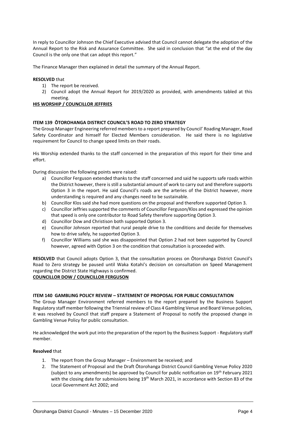In reply to Councillor Johnson the Chief Executive advised that Council cannot delegate the adoption of the Annual Report to the Risk and Assurance Committee. She said in conclusion that "at the end of the day Council is the only one that can adopt this report."

The Finance Manager then explained in detail the summary of the Annual Report.

#### **RESOLVED** that

- 1) The report be received.
- 2) Council adopt the Annual Report for 2019/2020 as provided, with amendments tabled at this meeting.

#### **HIS WORSHIP / COUNCILLOR JEFFRIES**

#### **ITEM 139 ŌTOROHANGA DISTRICT COUNCIL'S ROAD TO ZERO STRATEGY**

The Group Manager Engineering referred members to a report prepared by Council' Roading Manager, Road Safety Coordinator and himself for Elected Members consideration. He said there is no legislative requirement for Council to change speed limits on their roads.

His Worship extended thanks to the staff concerned in the preparation of this report for their time and effort.

During discussion the following points were raised:

- a) Councillor Ferguson extended thanks to the staff concerned and said he supports safe roads within the District however, there is still a substantial amount of work to carry out and therefore supports Option 3 in the report. He said Council's roads are the arteries of the District however, more understanding is required and any changes need to be sustainable.
- b) Councillor Klos said she had more questions on the proposal and therefore supported Option 3.
- c) Councillor Jeffries supported the comments of Councillor Ferguson/Klos and expressed the opinion that speed is only one contributor to Road Safety therefore supporting Option 3.
- d) Councillor Dow and Christison both supported Option 3.
- e) Councillor Johnson reported that rural people drive to the conditions and decide for themselves how to drive safely, he supported Option 3.
- f) Councillor Williams said she was disappointed that Option 2 had not been supported by Council however, agreed with Option 3 on the condition that consultation is proceeded with.

**RESOLVED** that Council adopts Option 3, that the consultation process on Ōtorohanga District Council's Road to Zero strategy be paused until Waka Kotahi's decision on consultation on Speed Management regarding the District State Highways is confirmed.

#### **COUNCILLOR DOW / COUNCILLOR FERGUSON**

#### **ITEM 140 GAMBLING POLICY REVIEW – STATEMENT OF PROPOSAL FOR PUBLIC CONSULTATION**

The Group Manager Environment referred members to the report prepared by the Business Support Regulatory staff member following the Triennial review of Class 4 Gambling Venue and Board Venue policies, it was resolved by Council that staff prepare a Statement of Proposal to notify the proposed change in Gambling Venue Policy for public consultation.

He acknowledged the work put into the preparation of the report by the Business Support - Regulatory staff member.

#### **Resolved** that

- 1. The report from the Group Manager Environment be received; and
- 2. The Statement of Proposal and the Draft Ōtorohanga District Council Gambling Venue Policy 2020 (subject to any amendments) be approved by Council for public notification on 19th February 2021 with the closing date for submissions being 19<sup>th</sup> March 2021, in accordance with Section 83 of the Local Government Act 2002; and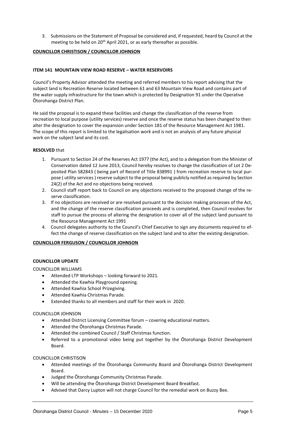3. Submissions on the Statement of Proposal be considered and, if requested, heard by Council at the meeting to be held on  $20<sup>th</sup>$  April 2021, or as early thereafter as possible.

#### **COUNCILLOR CHRISTISON / COUNCILLOR JOHNSON**

#### **ITEM 141 MOUNTAIN VIEW ROAD RESERVE – WATER RESERVOIRS**

Council's Property Advisor attended the meeting and referred members to his report advising that the subject land is Recreation Reserve located between 61 and 63 Mountain View Road and contains part of the water supply infrastructure for the town which is protected by Designation 91 under the Operative Ōtorohanga District Plan.

He said the proposal is to expand these facilities and change the classification of the reserve from recreation to local purpose (utility services) reserve and once the reserve status has been changed to then alter the designation to cover the expansion under Section 181 of the Resource Management Act 1981. The scope of this report is limited to the legalisation work and is not an analysis of any future physical work on the subject land and its cost.

#### **RESOLVED** that

- 1. Pursuant to Section 24 of the Reserves Act 1977 (the Act), and to a delegation from the Minister of Conservation dated 12 June 2013, Council hereby resolves to change the classification of Lot 2 Deposited Plan S82843 ( being part of Record of Title 838991 ) from recreation reserve to local purpose ( utility services ) reserve subject to the proposal being publicly notified as required by Section 24(2) of the Act and no objections being received.
- 2. Council staff report back to Council on any objections received to the proposed change of the reserve classification.
- 3. If no objections are received or are resolved pursuant to the decision making processes of the Act, and the change of the reserve classification proceeds and is completed, then Council resolves for staff to pursue the process of altering the designation to cover all of the subject land pursuant to the Resource Management Act 1991
- 4. Council delegates authority to the Council's Chief Executive to sign any documents required to effect the change of reserve classification on the subject land and to alter the existing designation.

#### **COUNCILLOR FERGUSON / COUNCILLOR JOHNSON**

#### **COUNCILLOR UPDATE**

COUNCILLOR WILLIAMS

- Attended LTP Workshops looking forward to 2021.
- Attended the Kawhia Playground opening.
- Attended Kawhia School Prizegiving.
- Attended Kawhia Christmas Parade.
- Extended thanks to all members and staff for their work in 2020.

#### COUNCILLOR JOHNSON

- Attended District Licensing Committee forum covering educational matters.
- Attended the Ōtorohanga Christmas Parade.
- Attended the combined Council / Staff Christmas function.
- Referred to a promotional video being put together by the Ōtorohanga District Development Board.

#### COUNCILLOR CHRISTISON

- Attended meetings of the Ōtorohanga Community Board and Ōtorohanga District Development Board.
- Judged the Ōtorohanga Community Christmas Parade.
- Will be attending the Ōtorohanga District Development Board Breakfast.
- Advised that Darcy Lupton will not charge Council for the remedial work on Buzzy Bee.